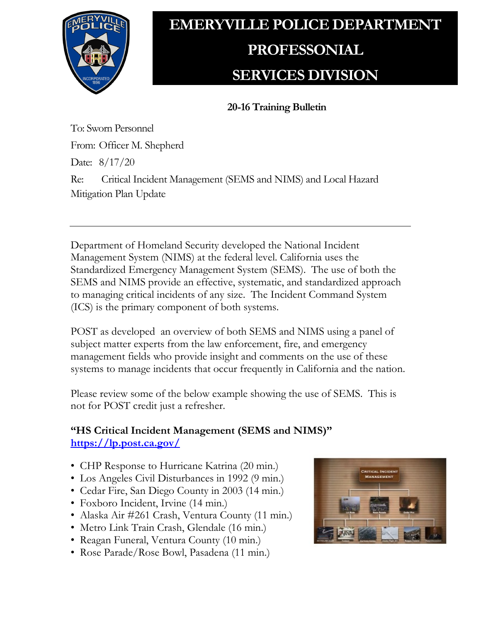

## **EMERYVILLE POLICE DEPARTMENT PROFESSONIAL SERVICES DIVISION**

**20-16 Training Bulletin**

To: Sworn Personnel From: Officer M. Shepherd Date: 8/17/20 Re: Critical Incident Management (SEMS and NIMS) and Local Hazard Mitigation Plan Update

Department of Homeland Security developed the National Incident Management System (NIMS) at the federal level. California uses the Standardized Emergency Management System (SEMS). The use of both the SEMS and NIMS provide an effective, systematic, and standardized approach to managing critical incidents of any size. The Incident Command System (ICS) is the primary component of both systems.

POST as developed an overview of both SEMS and NIMS using a panel of subject matter experts from the law enforcement, fire, and emergency management fields who provide insight and comments on the use of these systems to manage incidents that occur frequently in California and the nation.

Please review some of the below example showing the use of SEMS. This is not for POST credit just a refresher.

## **"HS Critical Incident Management (SEMS and NIMS)" <https://lp.post.ca.gov/>**

- CHP Response to Hurricane Katrina (20 min.)
- Los Angeles Civil Disturbances in 1992 (9 min.)
- Cedar Fire, San Diego County in 2003 (14 min.)
- Foxboro Incident, Irvine (14 min.)
- Alaska Air #261 Crash, Ventura County (11 min.)
- Metro Link Train Crash, Glendale (16 min.)
- Reagan Funeral, Ventura County (10 min.)
- Rose Parade/Rose Bowl, Pasadena (11 min.)

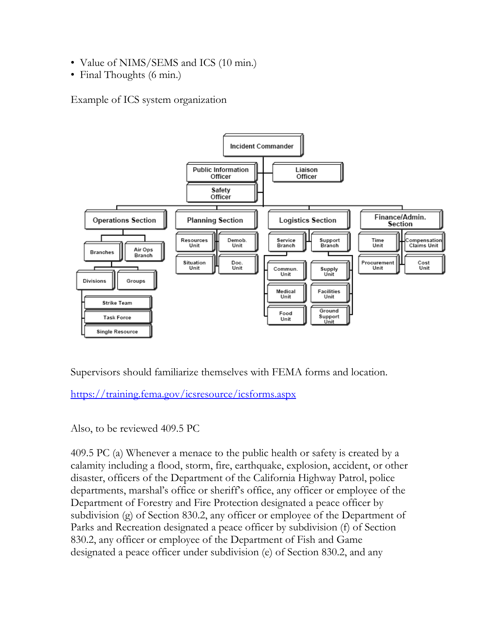- Value of NIMS/SEMS and ICS (10 min.)
- Final Thoughts (6 min.)

Example of ICS system organization



Supervisors should familiarize themselves with FEMA forms and location.

<https://training.fema.gov/icsresource/icsforms.aspx>

Also, to be reviewed 409.5 PC

409.5 PC (a) Whenever a menace to the public health or safety is created by a calamity including a flood, storm, fire, earthquake, explosion, accident, or other disaster, officers of the Department of the California Highway Patrol, police departments, marshal's office or sheriff's office, any officer or employee of the Department of Forestry and Fire Protection designated a peace officer by subdivision (g) of Section 830.2, any officer or employee of the Department of Parks and Recreation designated a peace officer by subdivision (f) of Section 830.2, any officer or employee of the Department of Fish and Game designated a peace officer under subdivision (e) of Section 830.2, and any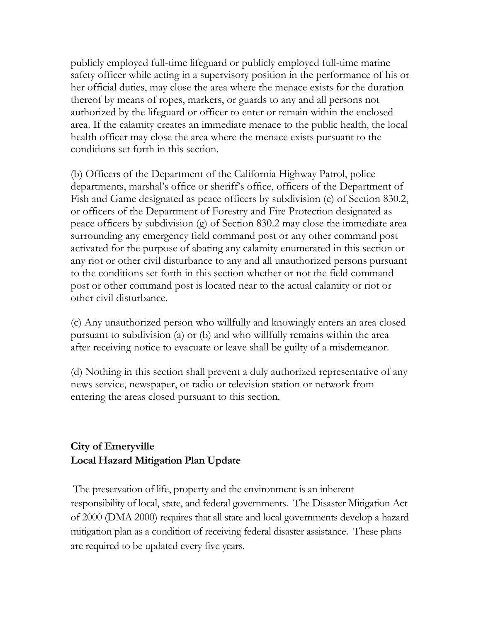publicly employed full-time lifeguard or publicly employed full-time marine safety officer while acting in a supervisory position in the performance of his or her official duties, may close the area where the menace exists for the duration thereof by means of ropes, markers, or guards to any and all persons not authorized by the lifeguard or officer to enter or remain within the enclosed area. If the calamity creates an immediate menace to the public health, the local health officer may close the area where the menace exists pursuant to the conditions set forth in this section.

(b) Officers of the Department of the California Highway Patrol, police departments, marshal's office or sheriff's office, officers of the Department of Fish and Game designated as peace officers by subdivision (e) of Section 830.2, or officers of the Department of Forestry and Fire Protection designated as peace officers by subdivision (g) of Section 830.2 may close the immediate area surrounding any emergency field command post or any other command post activated for the purpose of abating any calamity enumerated in this section or any riot or other civil disturbance to any and all unauthorized persons pursuant to the conditions set forth in this section whether or not the field command post or other command post is located near to the actual calamity or riot or other civil disturbance.

(c) Any unauthorized person who willfully and knowingly enters an area closed pursuant to subdivision (a) or (b) and who willfully remains within the area after receiving notice to evacuate or leave shall be guilty of a misdemeanor.

(d) Nothing in this section shall prevent a duly authorized representative of any news service, newspaper, or radio or television station or network from entering the areas closed pursuant to this section.

## **City of Emeryville Local Hazard Mitigation Plan Update**

The preservation of life, property and the environment is an inherent responsibility of local, state, and federal governments. The Disaster Mitigation Act of 2000 (DMA 2000) requires that all state and local governments develop a hazard mitigation plan as a condition of receiving federal disaster assistance. These plans are required to be updated every five years.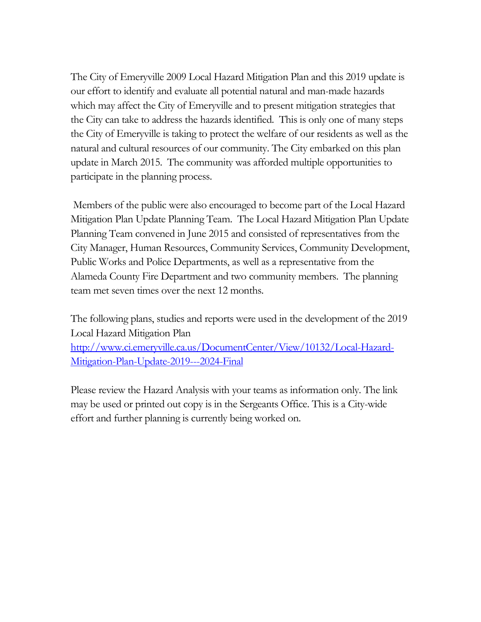The City of Emeryville 2009 Local Hazard Mitigation Plan and this 2019 update is our effort to identify and evaluate all potential natural and man-made hazards which may affect the City of Emeryville and to present mitigation strategies that the City can take to address the hazards identified. This is only one of many steps the City of Emeryville is taking to protect the welfare of our residents as well as the natural and cultural resources of our community. The City embarked on this plan update in March 2015. The community was afforded multiple opportunities to participate in the planning process.

Members of the public were also encouraged to become part of the Local Hazard Mitigation Plan Update Planning Team. The Local Hazard Mitigation Plan Update Planning Team convened in June 2015 and consisted of representatives from the City Manager, Human Resources, Community Services, Community Development, Public Works and Police Departments, as well as a representative from the Alameda County Fire Department and two community members. The planning team met seven times over the next 12 months.

The following plans, studies and reports were used in the development of the 2019 Local Hazard Mitigation Plan [http://www.ci.emeryville.ca.us/DocumentCenter/View/10132/Local-Hazard-](http://www.ci.emeryville.ca.us/DocumentCenter/View/10132/Local-Hazard-Mitigation-Plan-Update-2019---2024-Final)[Mitigation-Plan-Update-2019---2024-Final](http://www.ci.emeryville.ca.us/DocumentCenter/View/10132/Local-Hazard-Mitigation-Plan-Update-2019---2024-Final)

Please review the Hazard Analysis with your teams as information only. The link may be used or printed out copy is in the Sergeants Office. This is a City-wide effort and further planning is currently being worked on.